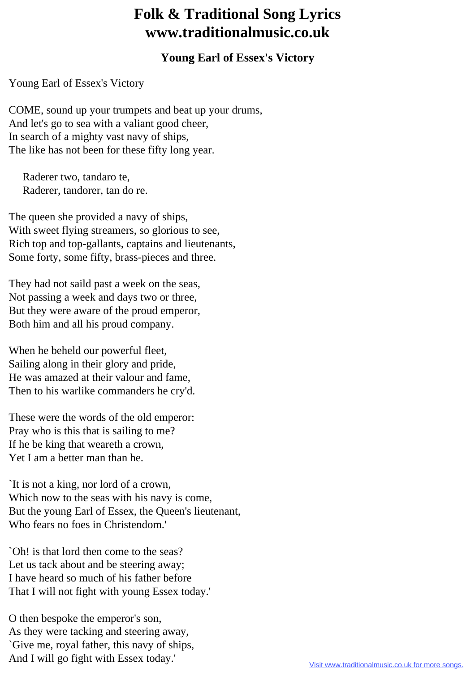## **Folk & Traditional Song Lyrics www.traditionalmusic.co.uk**

## **Young Earl of Essex's Victory**

Young Earl of Essex's Victory

COME, sound up your trumpets and beat up your drums, And let's go to sea with a valiant good cheer, In search of a mighty vast navy of ships, The like has not been for these fifty long year.

 Raderer two, tandaro te, Raderer, tandorer, tan do re.

The queen she provided a navy of ships, With sweet flying streamers, so glorious to see, Rich top and top-gallants, captains and lieutenants, Some forty, some fifty, brass-pieces and three.

They had not saild past a week on the seas, Not passing a week and days two or three, But they were aware of the proud emperor, Both him and all his proud company.

When he beheld our powerful fleet, Sailing along in their glory and pride, He was amazed at their valour and fame, Then to his warlike commanders he cry'd.

These were the words of the old emperor: Pray who is this that is sailing to me? If he be king that weareth a crown, Yet I am a better man than he.

`It is not a king, nor lord of a crown, Which now to the seas with his navy is come, But the young Earl of Essex, the Queen's lieutenant, Who fears no foes in Christendom.'

`Oh! is that lord then come to the seas? Let us tack about and be steering away: I have heard so much of his father before That I will not fight with young Essex today.'

O then bespoke the emperor's son, As they were tacking and steering away, `Give me, royal father, this navy of ships, And I will go fight with Essex today.'